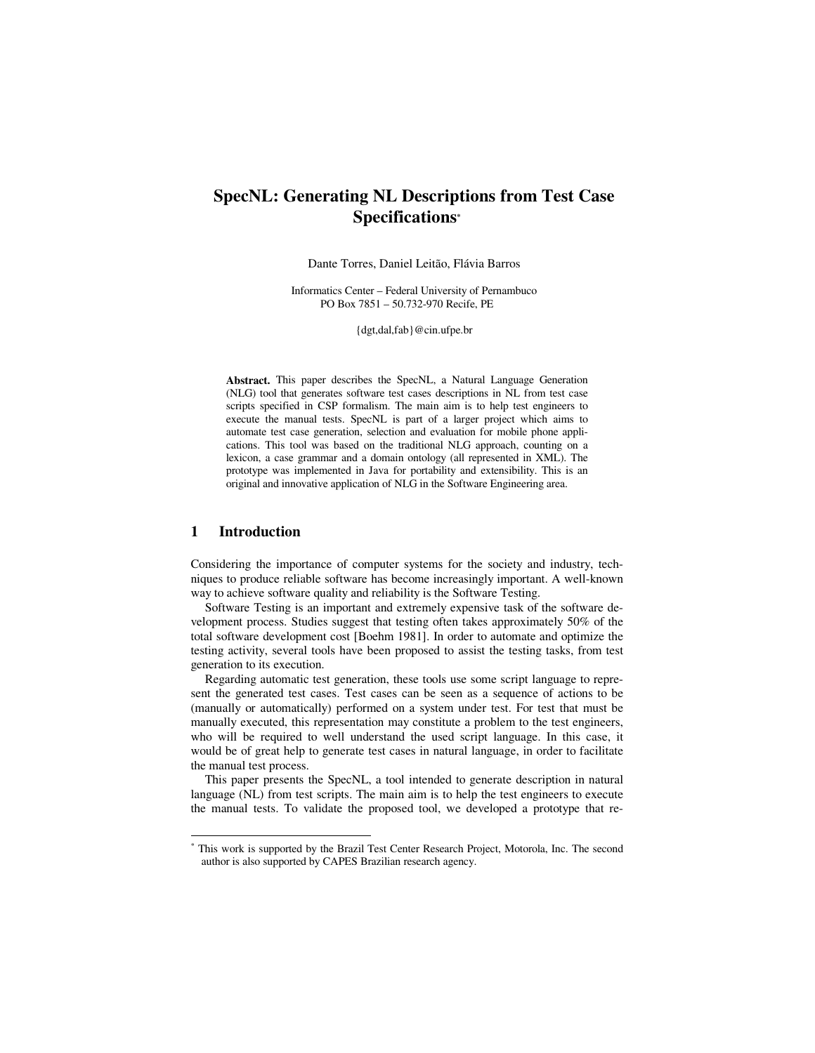# **SpecNL: Generating NL Descriptions from Test Case Specifications\***

Dante Torres, Daniel Leitão, Flávia Barros

Informatics Center – Federal University of Pernambuco PO Box 7851 – 50.732-970 Recife, PE

{dgt,dal,fab}@cin.ufpe.br

**Abstract.** This paper describes the SpecNL, a Natural Language Generation (NLG) tool that generates software test cases descriptions in NL from test case scripts specified in CSP formalism. The main aim is to help test engineers to execute the manual tests. SpecNL is part of a larger project which aims to automate test case generation, selection and evaluation for mobile phone applications. This tool was based on the traditional NLG approach, counting on a lexicon, a case grammar and a domain ontology (all represented in XML). The prototype was implemented in Java for portability and extensibility. This is an original and innovative application of NLG in the Software Engineering area.

## **1 Introduction**

 $\overline{a}$ 

Considering the importance of computer systems for the society and industry, techniques to produce reliable software has become increasingly important. A well-known way to achieve software quality and reliability is the Software Testing.

Software Testing is an important and extremely expensive task of the software development process. Studies suggest that testing often takes approximately 50% of the total software development cost [Boehm 1981]. In order to automate and optimize the testing activity, several tools have been proposed to assist the testing tasks, from test generation to its execution.

Regarding automatic test generation, these tools use some script language to represent the generated test cases. Test cases can be seen as a sequence of actions to be (manually or automatically) performed on a system under test. For test that must be manually executed, this representation may constitute a problem to the test engineers, who will be required to well understand the used script language. In this case, it would be of great help to generate test cases in natural language, in order to facilitate the manual test process.

This paper presents the SpecNL, a tool intended to generate description in natural language (NL) from test scripts. The main aim is to help the test engineers to execute the manual tests. To validate the proposed tool, we developed a prototype that re-

<sup>\*</sup> This work is supported by the Brazil Test Center Research Project, Motorola, Inc. The second author is also supported by CAPES Brazilian research agency.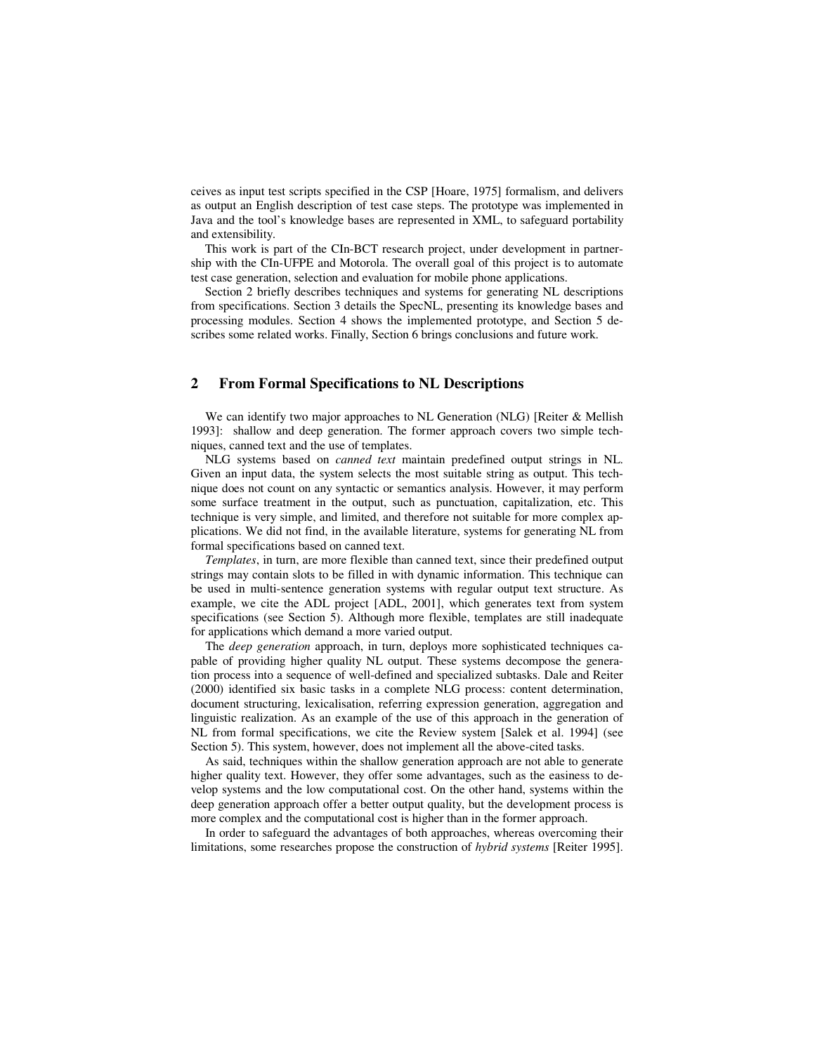ceives as input test scripts specified in the CSP [Hoare, 1975] formalism, and delivers as output an English description of test case steps. The prototype was implemented in Java and the tool's knowledge bases are represented in XML, to safeguard portability and extensibility.

This work is part of the CIn-BCT research project, under development in partnership with the CIn-UFPE and Motorola. The overall goal of this project is to automate test case generation, selection and evaluation for mobile phone applications.

Section 2 briefly describes techniques and systems for generating NL descriptions from specifications. Section 3 details the SpecNL, presenting its knowledge bases and processing modules. Section 4 shows the implemented prototype, and Section 5 describes some related works. Finally, Section 6 brings conclusions and future work.

## **2 From Formal Specifications to NL Descriptions**

We can identify two major approaches to NL Generation (NLG) [Reiter & Mellish 1993]: shallow and deep generation. The former approach covers two simple techniques, canned text and the use of templates.

NLG systems based on *canned text* maintain predefined output strings in NL. Given an input data, the system selects the most suitable string as output. This technique does not count on any syntactic or semantics analysis. However, it may perform some surface treatment in the output, such as punctuation, capitalization, etc. This technique is very simple, and limited, and therefore not suitable for more complex applications. We did not find, in the available literature, systems for generating NL from formal specifications based on canned text.

*Templates*, in turn, are more flexible than canned text, since their predefined output strings may contain slots to be filled in with dynamic information. This technique can be used in multi-sentence generation systems with regular output text structure. As example, we cite the ADL project [ADL, 2001], which generates text from system specifications (see Section 5). Although more flexible, templates are still inadequate for applications which demand a more varied output.

The *deep generation* approach, in turn, deploys more sophisticated techniques capable of providing higher quality NL output. These systems decompose the generation process into a sequence of well-defined and specialized subtasks. Dale and Reiter (2000) identified six basic tasks in a complete NLG process: content determination, document structuring, lexicalisation, referring expression generation, aggregation and linguistic realization. As an example of the use of this approach in the generation of NL from formal specifications, we cite the Review system [Salek et al. 1994] (see Section 5). This system, however, does not implement all the above-cited tasks.

As said, techniques within the shallow generation approach are not able to generate higher quality text. However, they offer some advantages, such as the easiness to develop systems and the low computational cost. On the other hand, systems within the deep generation approach offer a better output quality, but the development process is more complex and the computational cost is higher than in the former approach.

In order to safeguard the advantages of both approaches, whereas overcoming their limitations, some researches propose the construction of *hybrid systems* [Reiter 1995].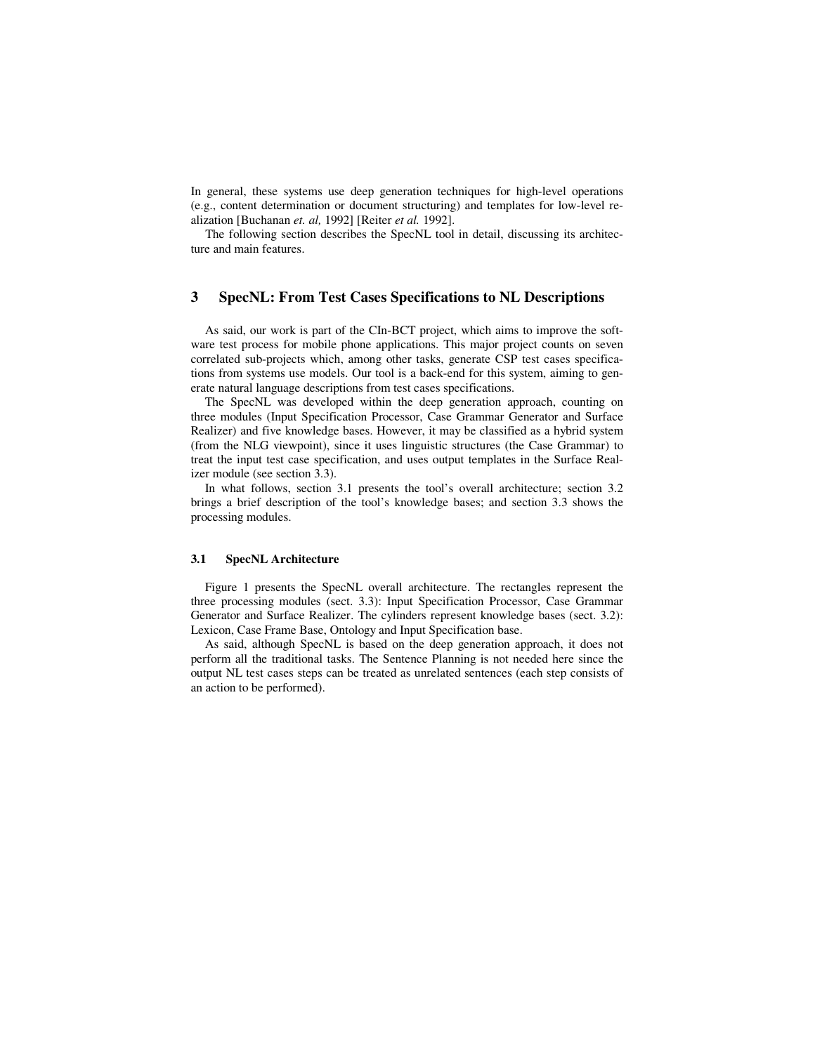In general, these systems use deep generation techniques for high-level operations (e.g., content determination or document structuring) and templates for low-level realization [Buchanan *et. al,* 1992] [Reiter *et al.* 1992].

The following section describes the SpecNL tool in detail, discussing its architecture and main features.

# **3 SpecNL: From Test Cases Specifications to NL Descriptions**

As said, our work is part of the CIn-BCT project, which aims to improve the software test process for mobile phone applications. This major project counts on seven correlated sub-projects which, among other tasks, generate CSP test cases specifications from systems use models. Our tool is a back-end for this system, aiming to generate natural language descriptions from test cases specifications.

The SpecNL was developed within the deep generation approach, counting on three modules (Input Specification Processor, Case Grammar Generator and Surface Realizer) and five knowledge bases. However, it may be classified as a hybrid system (from the NLG viewpoint), since it uses linguistic structures (the Case Grammar) to treat the input test case specification, and uses output templates in the Surface Realizer module (see section 3.3).

In what follows, section 3.1 presents the tool's overall architecture; section 3.2 brings a brief description of the tool's knowledge bases; and section 3.3 shows the processing modules.

#### **3.1 SpecNL Architecture**

Figure 1 presents the SpecNL overall architecture. The rectangles represent the three processing modules (sect. 3.3): Input Specification Processor, Case Grammar Generator and Surface Realizer. The cylinders represent knowledge bases (sect. 3.2): Lexicon, Case Frame Base, Ontology and Input Specification base.

As said, although SpecNL is based on the deep generation approach, it does not perform all the traditional tasks. The Sentence Planning is not needed here since the output NL test cases steps can be treated as unrelated sentences (each step consists of an action to be performed).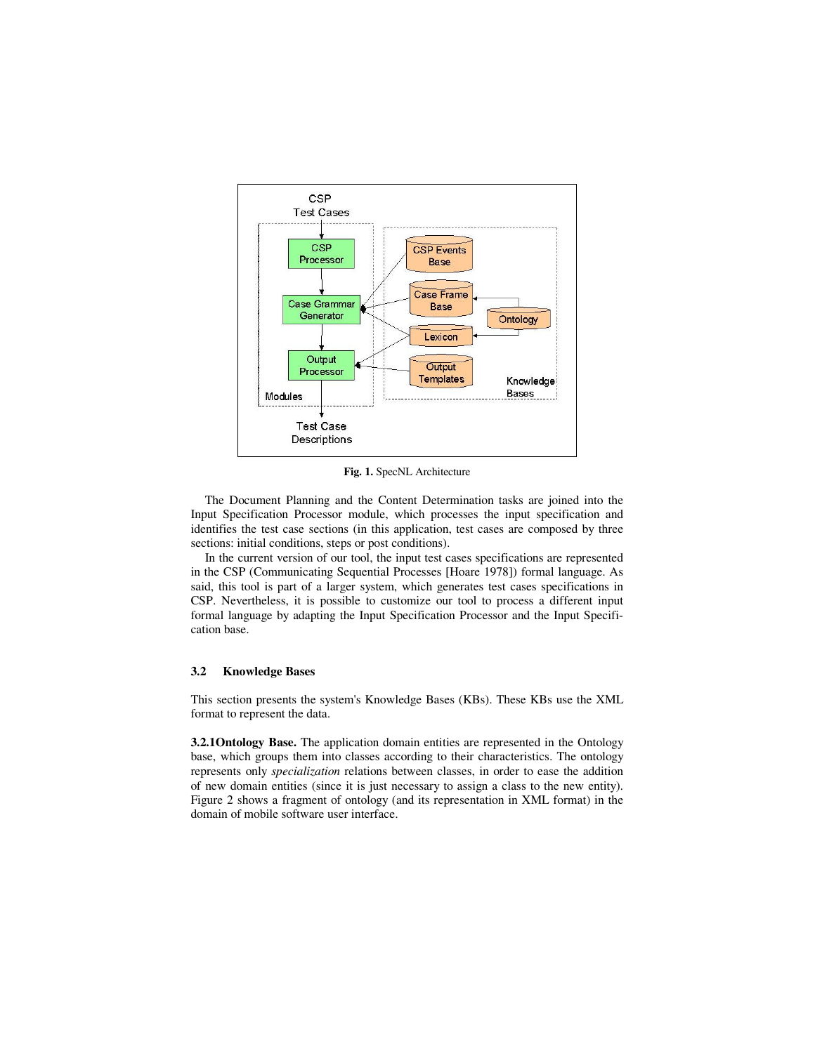

**Fig. 1.** SpecNL Architecture

The Document Planning and the Content Determination tasks are joined into the Input Specification Processor module, which processes the input specification and identifies the test case sections (in this application, test cases are composed by three sections: initial conditions, steps or post conditions).

In the current version of our tool, the input test cases specifications are represented in the CSP (Communicating Sequential Processes [Hoare 1978]) formal language. As said, this tool is part of a larger system, which generates test cases specifications in CSP. Nevertheless, it is possible to customize our tool to process a different input formal language by adapting the Input Specification Processor and the Input Specification base.

## **3.2 Knowledge Bases**

This section presents the system's Knowledge Bases (KBs). These KBs use the XML format to represent the data.

**3.2.1Ontology Base.** The application domain entities are represented in the Ontology base, which groups them into classes according to their characteristics. The ontology represents only *specialization* relations between classes, in order to ease the addition of new domain entities (since it is just necessary to assign a class to the new entity). Figure 2 shows a fragment of ontology (and its representation in XML format) in the domain of mobile software user interface.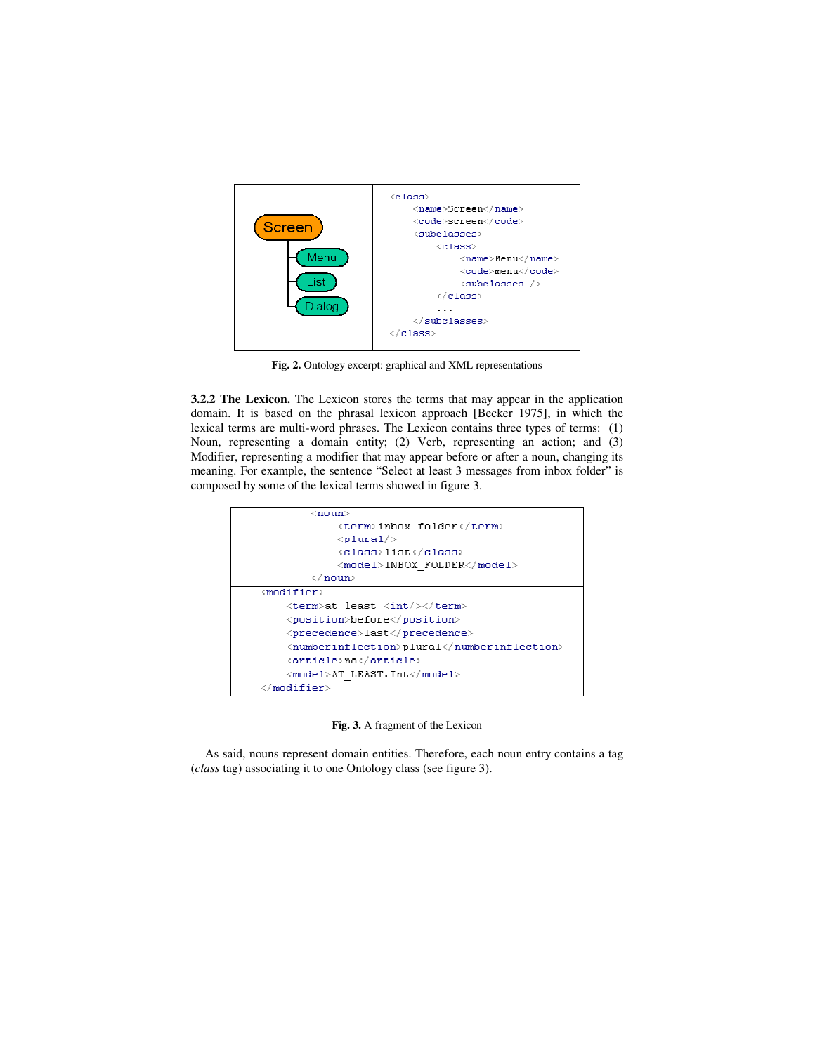

**Fig. 2.** Ontology excerpt: graphical and XML representations

**3.2.2 The Lexicon.** The Lexicon stores the terms that may appear in the application domain. It is based on the phrasal lexicon approach [Becker 1975], in which the lexical terms are multi-word phrases. The Lexicon contains three types of terms: (1) Noun, representing a domain entity; (2) Verb, representing an action; and (3) Modifier, representing a modifier that may appear before or after a noun, changing its meaning. For example, the sentence "Select at least 3 messages from inbox folder" is composed by some of the lexical terms showed in figure 3.



**Fig. 3.** A fragment of the Lexicon

As said, nouns represent domain entities. Therefore, each noun entry contains a tag (*class* tag) associating it to one Ontology class (see figure 3).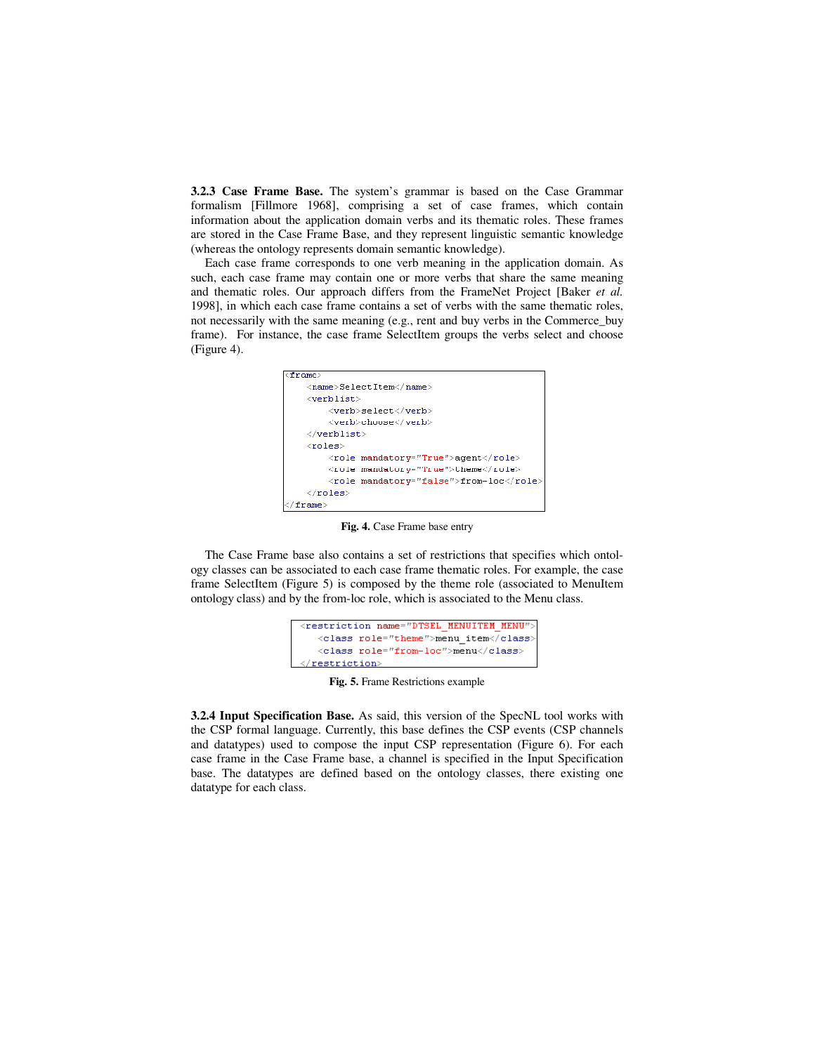**3.2.3 Case Frame Base.** The system's grammar is based on the Case Grammar formalism [Fillmore 1968], comprising a set of case frames, which contain information about the application domain verbs and its thematic roles. These frames are stored in the Case Frame Base, and they represent linguistic semantic knowledge (whereas the ontology represents domain semantic knowledge).

Each case frame corresponds to one verb meaning in the application domain. As such, each case frame may contain one or more verbs that share the same meaning and thematic roles. Our approach differs from the FrameNet Project [Baker *et al.* 1998], in which each case frame contains a set of verbs with the same thematic roles, not necessarily with the same meaning (e.g., rent and buy verbs in the Commerce\_buy frame). For instance, the case frame SelectItem groups the verbs select and choose (Figure 4).



**Fig. 4.** Case Frame base entry

The Case Frame base also contains a set of restrictions that specifies which ontology classes can be associated to each case frame thematic roles. For example, the case frame SelectItem (Figure 5) is composed by the theme role (associated to MenuItem ontology class) and by the from-loc role, which is associated to the Menu class.

```
<restriction name="DTSEL MENUITEM MENU
  <class role="theme">menu_item</class>
  <class role="from-loc">menu</class>
 restriction
```
**Fig. 5.** Frame Restrictions example

**3.2.4 Input Specification Base.** As said, this version of the SpecNL tool works with the CSP formal language. Currently, this base defines the CSP events (CSP channels and datatypes) used to compose the input CSP representation (Figure 6). For each case frame in the Case Frame base, a channel is specified in the Input Specification base. The datatypes are defined based on the ontology classes, there existing one datatype for each class.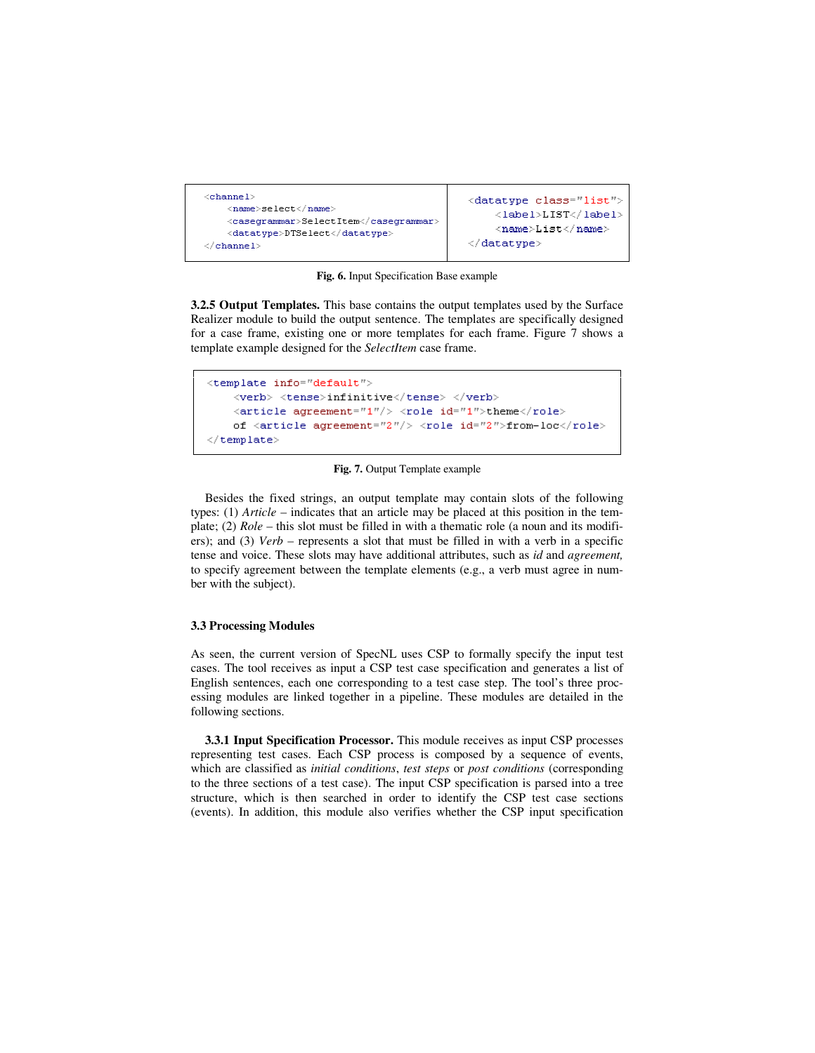

**Fig. 6.** Input Specification Base example

**3.2.5 Output Templates.** This base contains the output templates used by the Surface Realizer module to build the output sentence. The templates are specifically designed for a case frame, existing one or more templates for each frame. Figure 7 shows a template example designed for the *SelectItem* case frame.

```
<template info="default">
    <verb> <tense>infinitive</tense> </verb>
    \langlearticle agreement="1"/> \langlerole id="1">theme</role>
    of <article agreement="2"/> <role id="2">from-loc</role>
\langle/template>
```
**Fig. 7.** Output Template example

Besides the fixed strings, an output template may contain slots of the following types: (1) *Article* – indicates that an article may be placed at this position in the template; (2) *Role* – this slot must be filled in with a thematic role (a noun and its modifiers); and (3) *Verb* – represents a slot that must be filled in with a verb in a specific tense and voice. These slots may have additional attributes, such as *id* and *agreement,* to specify agreement between the template elements (e.g., a verb must agree in number with the subject).

### **3.3 Processing Modules**

As seen, the current version of SpecNL uses CSP to formally specify the input test cases. The tool receives as input a CSP test case specification and generates a list of English sentences, each one corresponding to a test case step. The tool's three processing modules are linked together in a pipeline. These modules are detailed in the following sections.

**3.3.1 Input Specification Processor.** This module receives as input CSP processes representing test cases. Each CSP process is composed by a sequence of events, which are classified as *initial conditions*, *test steps* or *post conditions* (corresponding to the three sections of a test case). The input CSP specification is parsed into a tree structure, which is then searched in order to identify the CSP test case sections (events). In addition, this module also verifies whether the CSP input specification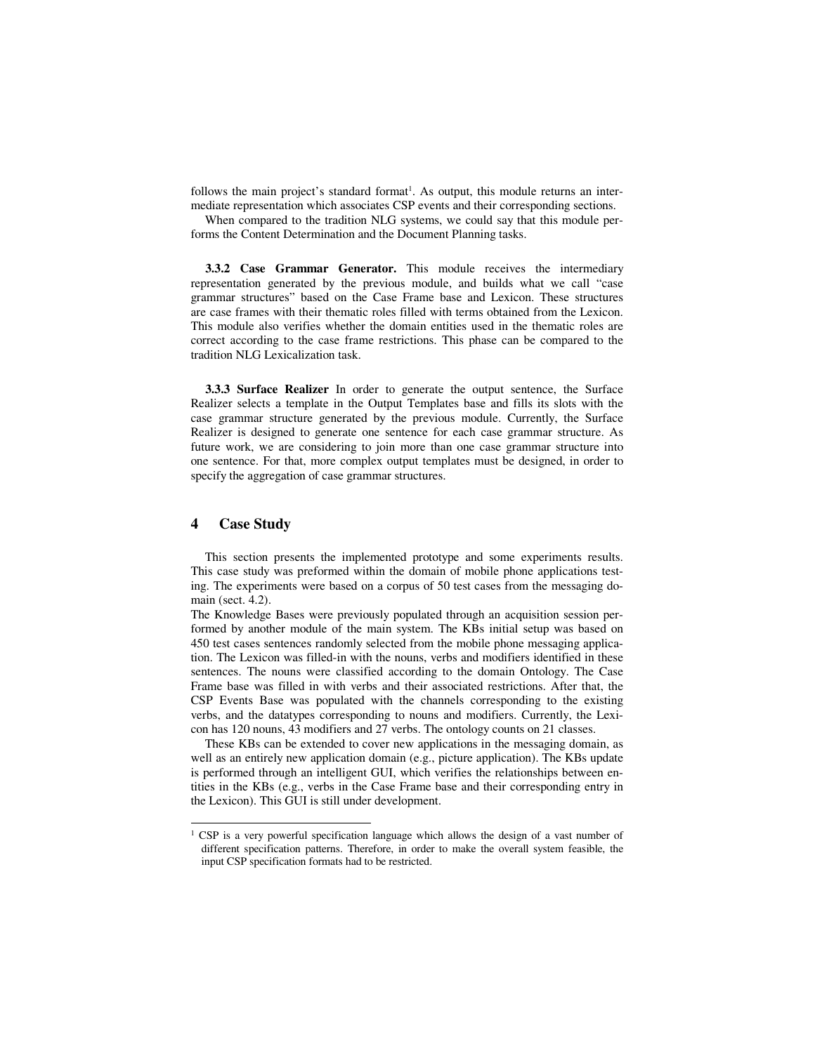follows the main project's standard format<sup>1</sup>. As output, this module returns an intermediate representation which associates CSP events and their corresponding sections.

When compared to the tradition NLG systems, we could say that this module performs the Content Determination and the Document Planning tasks.

**3.3.2 Case Grammar Generator.** This module receives the intermediary representation generated by the previous module, and builds what we call "case grammar structures" based on the Case Frame base and Lexicon. These structures are case frames with their thematic roles filled with terms obtained from the Lexicon. This module also verifies whether the domain entities used in the thematic roles are correct according to the case frame restrictions. This phase can be compared to the tradition NLG Lexicalization task.

**3.3.3 Surface Realizer** In order to generate the output sentence, the Surface Realizer selects a template in the Output Templates base and fills its slots with the case grammar structure generated by the previous module. Currently, the Surface Realizer is designed to generate one sentence for each case grammar structure. As future work, we are considering to join more than one case grammar structure into one sentence. For that, more complex output templates must be designed, in order to specify the aggregation of case grammar structures.

# **4 Case Study**

l

This section presents the implemented prototype and some experiments results. This case study was preformed within the domain of mobile phone applications testing. The experiments were based on a corpus of 50 test cases from the messaging domain (sect. 4.2).

The Knowledge Bases were previously populated through an acquisition session performed by another module of the main system. The KBs initial setup was based on 450 test cases sentences randomly selected from the mobile phone messaging application. The Lexicon was filled-in with the nouns, verbs and modifiers identified in these sentences. The nouns were classified according to the domain Ontology. The Case Frame base was filled in with verbs and their associated restrictions. After that, the CSP Events Base was populated with the channels corresponding to the existing verbs, and the datatypes corresponding to nouns and modifiers. Currently, the Lexicon has 120 nouns, 43 modifiers and 27 verbs. The ontology counts on 21 classes.

These KBs can be extended to cover new applications in the messaging domain, as well as an entirely new application domain (e.g., picture application). The KBs update is performed through an intelligent GUI, which verifies the relationships between entities in the KBs (e.g., verbs in the Case Frame base and their corresponding entry in the Lexicon). This GUI is still under development.

<sup>&</sup>lt;sup>1</sup> CSP is a very powerful specification language which allows the design of a vast number of different specification patterns. Therefore, in order to make the overall system feasible, the input CSP specification formats had to be restricted.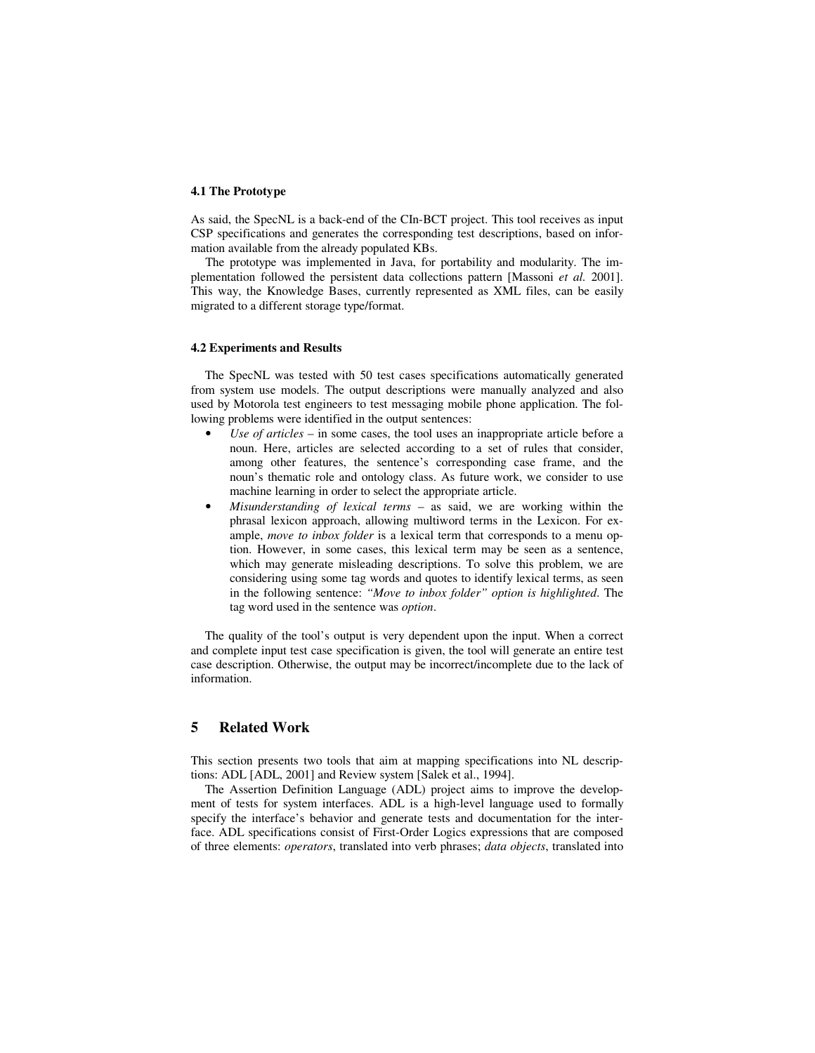## **4.1 The Prototype**

As said, the SpecNL is a back-end of the CIn-BCT project. This tool receives as input CSP specifications and generates the corresponding test descriptions, based on information available from the already populated KBs.

The prototype was implemented in Java, for portability and modularity. The implementation followed the persistent data collections pattern [Massoni *et al.* 2001]. This way, the Knowledge Bases, currently represented as XML files, can be easily migrated to a different storage type/format.

#### **4.2 Experiments and Results**

The SpecNL was tested with 50 test cases specifications automatically generated from system use models. The output descriptions were manually analyzed and also used by Motorola test engineers to test messaging mobile phone application. The following problems were identified in the output sentences:

- *Use of articles* in some cases, the tool uses an inappropriate article before a noun. Here, articles are selected according to a set of rules that consider, among other features, the sentence's corresponding case frame, and the noun's thematic role and ontology class. As future work, we consider to use machine learning in order to select the appropriate article.
- *Misunderstanding of lexical terms*  as said, we are working within the phrasal lexicon approach, allowing multiword terms in the Lexicon. For example, *move to inbox folder* is a lexical term that corresponds to a menu option. However, in some cases, this lexical term may be seen as a sentence, which may generate misleading descriptions. To solve this problem, we are considering using some tag words and quotes to identify lexical terms, as seen in the following sentence: *"Move to inbox folder" option is highlighted*. The tag word used in the sentence was *option*.

The quality of the tool's output is very dependent upon the input. When a correct and complete input test case specification is given, the tool will generate an entire test case description. Otherwise, the output may be incorrect/incomplete due to the lack of information.

## **5 Related Work**

This section presents two tools that aim at mapping specifications into NL descriptions: ADL [ADL, 2001] and Review system [Salek et al., 1994].

The Assertion Definition Language (ADL) project aims to improve the development of tests for system interfaces. ADL is a high-level language used to formally specify the interface's behavior and generate tests and documentation for the interface. ADL specifications consist of First-Order Logics expressions that are composed of three elements: *operators*, translated into verb phrases; *data objects*, translated into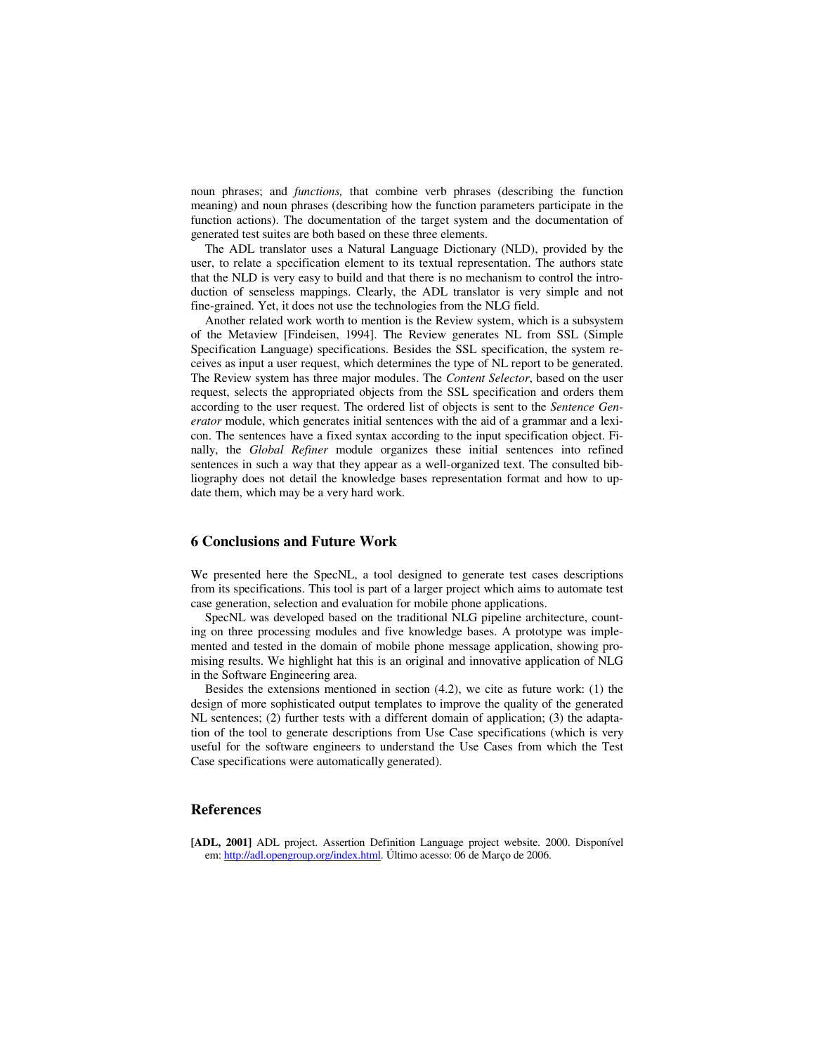noun phrases; and *functions,* that combine verb phrases (describing the function meaning) and noun phrases (describing how the function parameters participate in the function actions). The documentation of the target system and the documentation of generated test suites are both based on these three elements.

The ADL translator uses a Natural Language Dictionary (NLD), provided by the user, to relate a specification element to its textual representation. The authors state that the NLD is very easy to build and that there is no mechanism to control the introduction of senseless mappings. Clearly, the ADL translator is very simple and not fine-grained. Yet, it does not use the technologies from the NLG field.

Another related work worth to mention is the Review system, which is a subsystem of the Metaview [Findeisen, 1994]. The Review generates NL from SSL (Simple Specification Language) specifications. Besides the SSL specification, the system receives as input a user request, which determines the type of NL report to be generated. The Review system has three major modules. The *Content Selector*, based on the user request, selects the appropriated objects from the SSL specification and orders them according to the user request. The ordered list of objects is sent to the *Sentence Generator* module, which generates initial sentences with the aid of a grammar and a lexicon. The sentences have a fixed syntax according to the input specification object. Finally, the *Global Refiner* module organizes these initial sentences into refined sentences in such a way that they appear as a well-organized text. The consulted bibliography does not detail the knowledge bases representation format and how to update them, which may be a very hard work.

# **6 Conclusions and Future Work**

We presented here the SpecNL, a tool designed to generate test cases descriptions from its specifications. This tool is part of a larger project which aims to automate test case generation, selection and evaluation for mobile phone applications.

SpecNL was developed based on the traditional NLG pipeline architecture, counting on three processing modules and five knowledge bases. A prototype was implemented and tested in the domain of mobile phone message application, showing promising results. We highlight hat this is an original and innovative application of NLG in the Software Engineering area.

Besides the extensions mentioned in section (4.2), we cite as future work: (1) the design of more sophisticated output templates to improve the quality of the generated NL sentences; (2) further tests with a different domain of application; (3) the adaptation of the tool to generate descriptions from Use Case specifications (which is very useful for the software engineers to understand the Use Cases from which the Test Case specifications were automatically generated).

## **References**

**[ADL, 2001]** ADL project. Assertion Definition Language project website. 2000. Disponível em: http://adl.opengroup.org/index.html. Último acesso: 06 de Março de 2006.